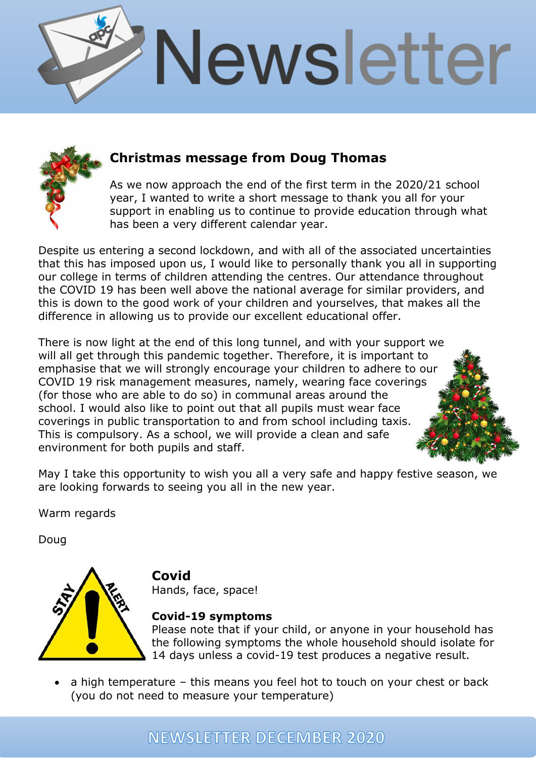



### **Christmas message from Doug Thomas**

As we now approach the end of the first term in the 2020/21 school year, I wanted to write a short message to thank you all for your support in enabling us to continue to provide education through what has been a very different calendar year.

Despite us entering a second lockdown, and with all of the associated uncertainties that this has imposed upon us, I would like to personally thank you all in supporting our college in terms of children attending the centres. Our attendance throughout the COVID 19 has been well above the national average for similar providers, and this is down to the good work of your children and yourselves, that makes all the difference in allowing us to provide our excellent educational offer.

There is now light at the end of this long tunnel, and with your support we will all get through this pandemic together. Therefore, it is important to emphasise that we will strongly encourage your children to adhere to our COVID 19 risk management measures, namely, wearing face coverings (for those who are able to do so) in communal areas around the school. I would also like to point out that all pupils must wear face coverings in public transportation to and from school including taxis. This is compulsory. As a school, we will provide a clean and safe environment for both pupils and staff.

May I take this opportunity to wish you all a very safe and happy festive season, we are looking forwards to seeing you all in the new year.

Warm regards

Doug



**Covid**

Hands, face, space!

#### **Covid-19 symptoms**

Please note that if your child, or anyone in your household has the following symptoms the whole household should isolate for 14 days unless a covid-19 test produces a negative result.

• a high temperature – this means you feel hot to touch on your chest or back (you do not need to measure your temperature)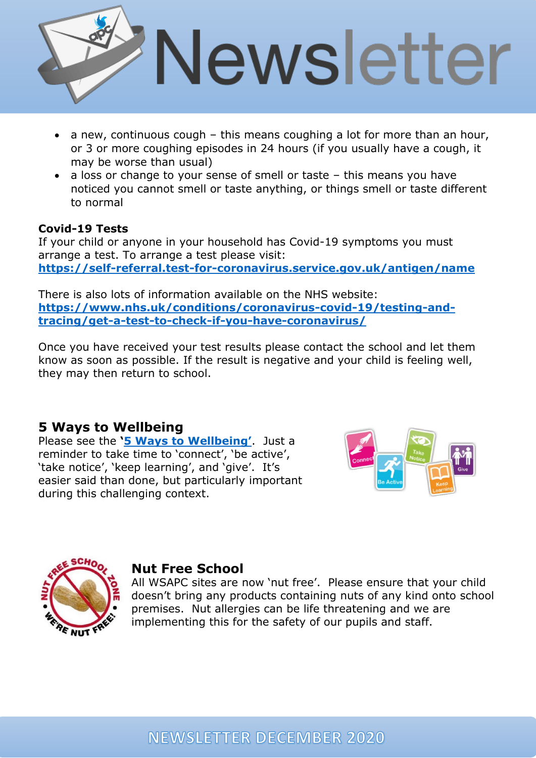

- a new, continuous cough this means coughing a lot for more than an hour, or 3 or more coughing episodes in 24 hours (if you usually have a cough, it may be worse than usual)
- a loss or change to your sense of smell or taste this means you have noticed you cannot smell or taste anything, or things smell or taste different to normal

#### **Covid-19 Tests**

If your child or anyone in your household has Covid-19 symptoms you must arrange a test. To arrange a test please visit: **<https://self-referral.test-for-coronavirus.service.gov.uk/antigen/name>**

There is also lots of information available on the NHS website: **[https://www.nhs.uk/conditions/coronavirus-covid-19/testing-and](https://www.nhs.uk/conditions/coronavirus-covid-19/testing-and-tracing/get-a-test-to-check-if-you-have-coronavirus/)[tracing/get-a-test-to-check-if-you-have-coronavirus/](https://www.nhs.uk/conditions/coronavirus-covid-19/testing-and-tracing/get-a-test-to-check-if-you-have-coronavirus/)**

Once you have received your test results please contact the school and let them know as soon as possible. If the result is negative and your child is feeling well, they may then return to school.

#### **5 Ways to Wellbeing**

Please see the **'[5 Ways to W](http://apcollege.co.uk/wp-content/uploads/2020/11/5-ways-to-wellbeing.pdf)ellbeing'**. Just a reminder to take time to 'connect', 'be active', 'take notice', 'keep learning', and 'give'. It's easier said than done, but particularly important during this challenging context.





#### **Nut Free School**

All WSAPC sites are now 'nut free'. Please ensure that your child doesn't bring any products containing nuts of any kind onto school premises. Nut allergies can be life threatening and we are implementing this for the safety of our pupils and staff.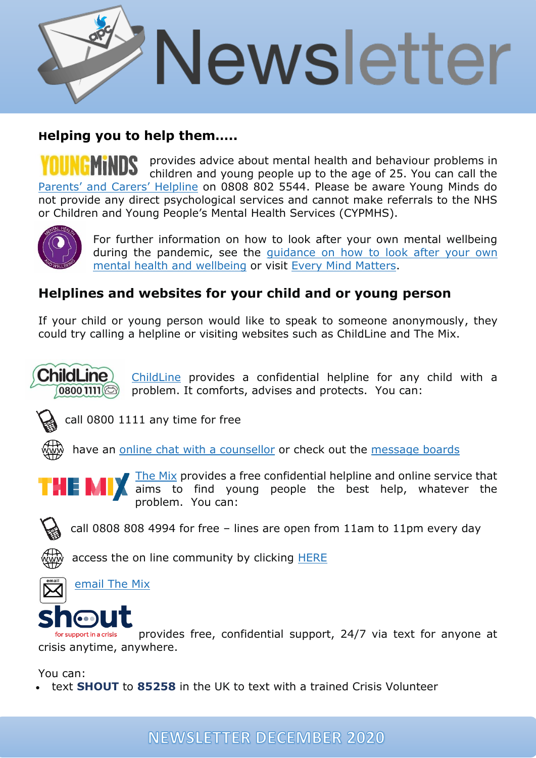

# **Helping you to help them…..**

provides advice about mental health and behaviour problems in YOUNGMiNDS children and young people up to the age of 25. You can call the [Parents'](https://youngminds.org.uk/find-help/for-parents/parents-helpline/) and Carers' Helpline on 0808 802 5544. Please be aware Young Minds do not provide any direct psychological services and cannot make referrals to the NHS or Children and Young People's Mental Health Services (CYPMHS).



For further information on how to look after your own mental wellbeing during the pandemic, see the [guidance](https://www.gov.uk/government/publications/covid-19-guidance-for-the-public-on-mental-health-and-wellbeing) on how to look after your own mental health and [wellbeing](https://www.gov.uk/government/publications/covid-19-guidance-for-the-public-on-mental-health-and-wellbeing) or visit Every Mind [Matters.](https://www.nhs.uk/oneyou/every-mind-matters/)

# **Helplines and websites for your child and or young person**

If your child or young person would like to speak to someone anonymously, they could try calling a helpline or visiting websites such as ChildLine and The Mix.



[ChildLine](https://www.childline.org.uk/Pages/Home.aspx) provides a confidential helpline for any child with a problem. It comforts, advises and protects. You can:



call 0800 1111 any time for free

have an online chat with a [counsellor](https://www.childline.org.uk/get-support/1-2-1-counsellor-chat/) or check out the [message](https://www.childline.org.uk/get-support/message-boards/) boards



[The](http://www.themix.org.uk/) Mix provides a free confidential helpline and online service that aims to find young people the best help, whatever the problem. You can:

call 0808 808 4994 for free – lines are open from 11am to 11pm every day

access the on line community by clicking [HERE](https://community.themix.org.uk/)

[email](http://www.themix.org.uk/get-support/speak-to-our-team/email-us) The Mix



provides free, confidential support, 24/7 via text for anyone at for support in a crisis crisis anytime, anywhere.

You can:

• text **SHOUT** to **85258** in the UK to text with a trained Crisis Volunteer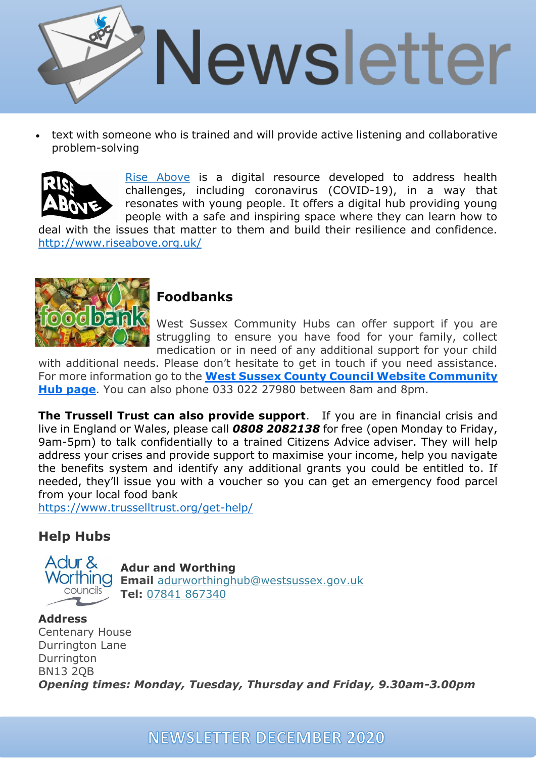

• text with someone who is trained and will provide active listening and collaborative problem-solving



Rise [Above](http://www.riseabove.org.uk/) is a digital resource developed to address health challenges, including coronavirus (COVID-19), in a way that resonates with young people. It offers a digital hub providing young people with a safe and inspiring space where they can learn how to

deal with the issues that matter to them and build their resilience and confidence. <http://www.riseabove.org.uk/>



# **Foodbanks**

West Sussex Community Hubs can offer support if you are struggling to ensure you have food for your family, collect medication or in need of any additional support for your child

with additional needs. Please don't hesitate to get in touch if you need assistance. For more information go to the **West Sussex County Council Website [Community](https://www.westsussex.gov.uk/leisure-recreation-and-community/supporting-local-communities/community-hub-covid-19/#overview) Hub [page](https://www.westsussex.gov.uk/leisure-recreation-and-community/supporting-local-communities/community-hub-covid-19/#overview)**. You can also phone 033 022 27980 between 8am and 8pm.

**The Trussell Trust can also provide support**. If you are in financial crisis and live in England or Wales, please call *0808 2082138* for free (open Monday to Friday, 9am-5pm) to talk confidentially to a trained Citizens Advice adviser. They will help address your crises and provide support to maximise your income, help you navigate the benefits system and identify any additional grants you could be entitled to. If needed, they'll issue you with a voucher so you can get an emergency food parcel from your local food bank

<https://www.trusselltrust.org/get-help/>

# **Help Hubs**



**Adur and Worthing Email** [adurworthinghub@westsussex.gov.uk](mailto:adurworthinghub@westsussex.gov.uk) **Tel:** 07841 [867340](tel:07841%20867340)

#### **Address**

Centenary House Durrington Lane Durrington BN13 2QB *Opening times: Monday, Tuesday, Thursday and Friday, 9.30am-3.00pm*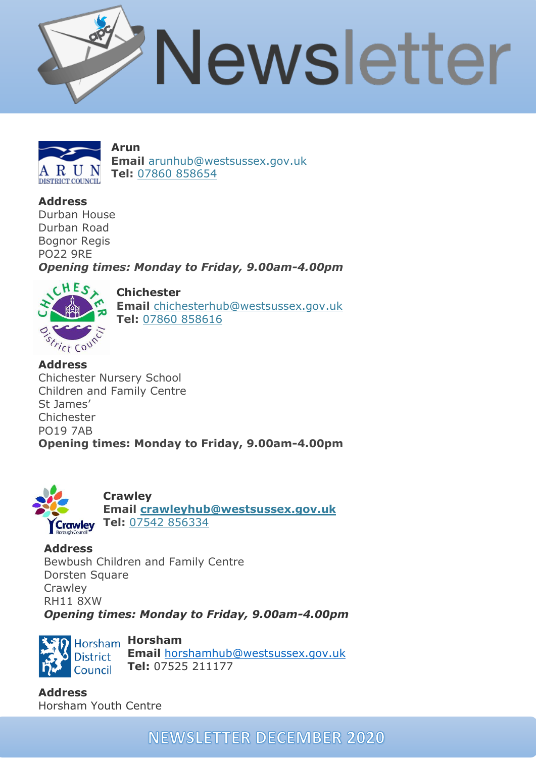



**Arun Email** [arunhub@westsussex.gov.uk](mailto:arunhub@westsussex.gov.uk) **Tel:** 07860 [858654](tel:07860%20858654)

**Address**

Durban House Durban Road Bognor Regis PO22 9RE

*Opening times: Monday to Friday, 9.00am-4.00pm* 



**Chichester Email** [chichesterhub@westsussex.gov.uk](mailto:chichesterhub@westsussex.gov.uk) **Tel:** 07860 [858616](tel:07860%20858616)

**Address** Chichester Nursery School Children and Family Centre St James' Chichester PO19 7AB **Opening times: Monday to Friday, 9.00am-4.00pm** 



**Crawley**

**Email [crawleyhub@westsussex.gov.uk](mailto:crawleyhub@westsussex.gov.uk)** Crawley Tel: 07542 [856334](tel:07542%20856334)

**Address** Bewbush Children and Family Centre Dorsten Square **Crawley** RH11 8XW *Opening times: Monday to Friday, 9.00am-4.00pm* 



**Email** [horshamhub@westsussex.gov.uk](mailto:horshamhub@westsussex.gov.uk) **Tel:** 07525 211177

**Address** Horsham Youth Centre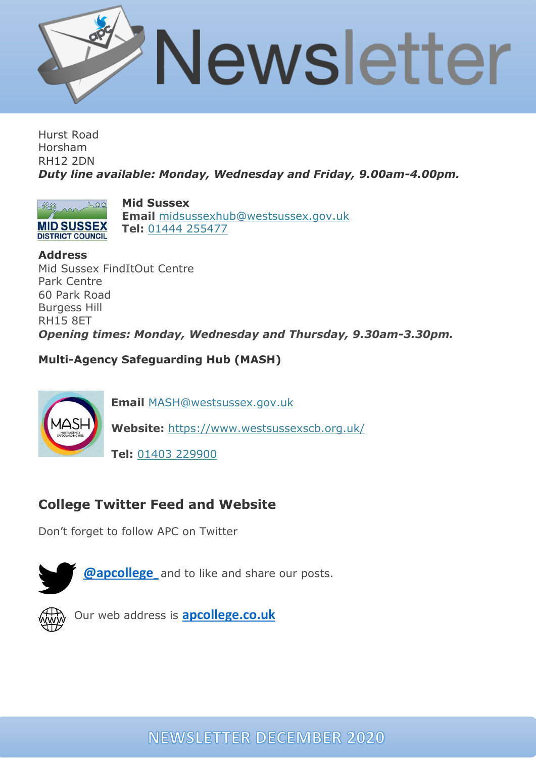

Hurst Road Horsham RH12 2DN *Duty line available: Monday, Wednesday and Friday, 9.00am-4.00pm.*



**DISTRICT COUNCIL** 

**Mid Sussex Email** [midsussexhub@westsussex.gov.uk](mailto:midsussexhub@westsussex.gov.uk) **Tel:** 01444 [255477](tel:01444%20255477)

**Address**

Mid Sussex FindItOut Centre Park Centre 60 Park Road Burgess Hill RH15 8ET *Opening times: Monday, Wednesday and Thursday, 9.30am-3.30pm.* 

**Multi-Agency Safeguarding Hub (MASH)**



**Email** [MASH@westsussex.gov.uk](mailto:MASH@westsussex.gov.uk)

**Website:** <https://www.westsussexscb.org.uk/>

**Tel:** 01403 [229900](tel:01403%20229900)

# **College Twitter Feed and Website**

Don't forget to follow APC on Twitter





Our web address is **[apcollege.co.uk](http://apcollege.co.uk/)**